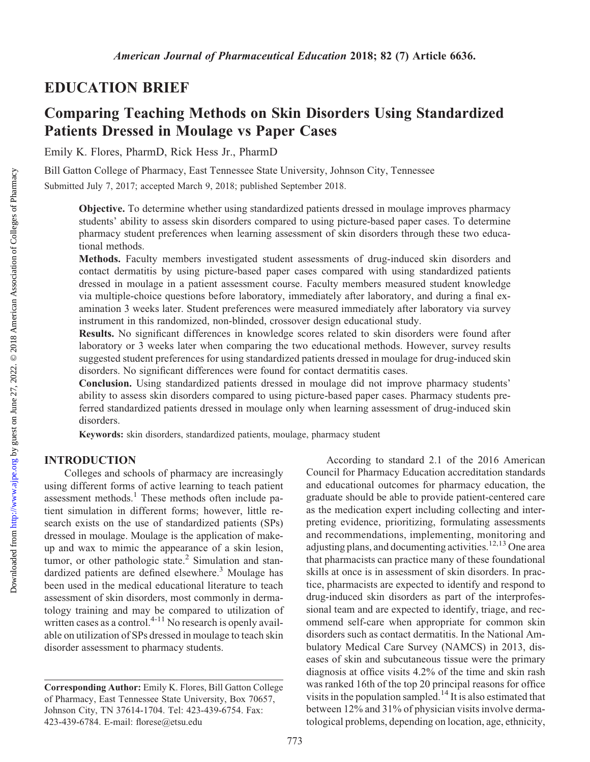# EDUCATION BRIEF

# Comparing Teaching Methods on Skin Disorders Using Standardized Patients Dressed in Moulage vs Paper Cases

Emily K. Flores, PharmD, Rick Hess Jr., PharmD

Bill Gatton College of Pharmacy, East Tennessee State University, Johnson City, Tennessee Submitted July 7, 2017; accepted March 9, 2018; published September 2018.

Objective. To determine whether using standardized patients dressed in moulage improves pharmacy students' ability to assess skin disorders compared to using picture-based paper cases. To determine pharmacy student preferences when learning assessment of skin disorders through these two educational methods.

Methods. Faculty members investigated student assessments of drug-induced skin disorders and contact dermatitis by using picture-based paper cases compared with using standardized patients dressed in moulage in a patient assessment course. Faculty members measured student knowledge via multiple-choice questions before laboratory, immediately after laboratory, and during a final examination 3 weeks later. Student preferences were measured immediately after laboratory via survey instrument in this randomized, non-blinded, crossover design educational study.

Results. No significant differences in knowledge scores related to skin disorders were found after laboratory or 3 weeks later when comparing the two educational methods. However, survey results suggested student preferences for using standardized patients dressed in moulage for drug-induced skin disorders. No significant differences were found for contact dermatitis cases.

Conclusion. Using standardized patients dressed in moulage did not improve pharmacy students' ability to assess skin disorders compared to using picture-based paper cases. Pharmacy students preferred standardized patients dressed in moulage only when learning assessment of drug-induced skin disorders.

Keywords: skin disorders, standardized patients, moulage, pharmacy student

#### INTRODUCTION

Colleges and schools of pharmacy are increasingly using different forms of active learning to teach patient assessment methods. $<sup>1</sup>$  These methods often include pa-</sup> tient simulation in different forms; however, little research exists on the use of standardized patients (SPs) dressed in moulage. Moulage is the application of makeup and wax to mimic the appearance of a skin lesion, tumor, or other pathologic state.<sup>2</sup> Simulation and standardized patients are defined elsewhere.<sup>3</sup> Moulage has been used in the medical educational literature to teach assessment of skin disorders, most commonly in dermatology training and may be compared to utilization of written cases as a control. $4-11$  No research is openly available on utilization of SPs dressed in moulage to teach skin disorder assessment to pharmacy students.

According to standard 2.1 of the 2016 American Council for Pharmacy Education accreditation standards and educational outcomes for pharmacy education, the graduate should be able to provide patient-centered care as the medication expert including collecting and interpreting evidence, prioritizing, formulating assessments and recommendations, implementing, monitoring and adjusting plans, and documenting activities.<sup>12,13</sup> One area that pharmacists can practice many of these foundational skills at once is in assessment of skin disorders. In practice, pharmacists are expected to identify and respond to drug-induced skin disorders as part of the interprofessional team and are expected to identify, triage, and recommend self-care when appropriate for common skin disorders such as contact dermatitis. In the National Ambulatory Medical Care Survey (NAMCS) in 2013, diseases of skin and subcutaneous tissue were the primary diagnosis at office visits 4.2% of the time and skin rash was ranked 16th of the top 20 principal reasons for office visits in the population sampled.<sup>14</sup> It is also estimated that between 12% and 31% of physician visits involve dermatological problems, depending on location, age, ethnicity,

Corresponding Author: Emily K. Flores, Bill Gatton College of Pharmacy, East Tennessee State University, Box 70657, Johnson City, TN 37614-1704. Tel: 423-439-6754. Fax: 423-439-6784. E-mail: [florese@etsu.edu](mailto:florese@etsu.edu)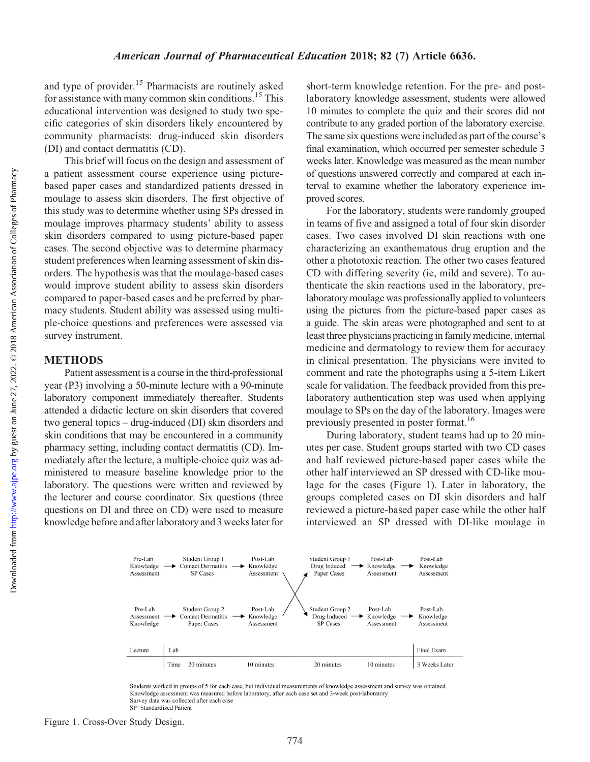Downloaded from

and type of provider.<sup>15</sup> Pharmacists are routinely asked for assistance with many common skin conditions.15 This educational intervention was designed to study two specific categories of skin disorders likely encountered by community pharmacists: drug-induced skin disorders (DI) and contact dermatitis (CD).

This brief will focus on the design and assessment of a patient assessment course experience using picturebased paper cases and standardized patients dressed in moulage to assess skin disorders. The first objective of this study was to determine whether using SPs dressed in moulage improves pharmacy students' ability to assess skin disorders compared to using picture-based paper cases. The second objective was to determine pharmacy student preferences when learning assessment of skin disorders. The hypothesis was that the moulage-based cases would improve student ability to assess skin disorders compared to paper-based cases and be preferred by pharmacy students. Student ability was assessed using multiple-choice questions and preferences were assessed via survey instrument.

## METHODS

Patient assessment is a course in the third-professional year (P3) involving a 50-minute lecture with a 90-minute laboratory component immediately thereafter. Students attended a didactic lecture on skin disorders that covered two general topics – drug-induced (DI) skin disorders and skin conditions that may be encountered in a community pharmacy setting, including contact dermatitis (CD). Immediately after the lecture, a multiple-choice quiz was administered to measure baseline knowledge prior to the laboratory. The questions were written and reviewed by the lecturer and course coordinator. Six questions (three questions on DI and three on CD) were used to measure knowledge before and after laboratory and 3 weeks later for

short-term knowledge retention. For the pre- and postlaboratory knowledge assessment, students were allowed 10 minutes to complete the quiz and their scores did not contribute to any graded portion of the laboratory exercise. The same six questions were included as part of the course's final examination, which occurred per semester schedule 3 weeks later. Knowledge was measured as the mean number of questions answered correctly and compared at each interval to examine whether the laboratory experience improved scores.

For the laboratory, students were randomly grouped in teams of five and assigned a total of four skin disorder cases. Two cases involved DI skin reactions with one characterizing an exanthematous drug eruption and the other a phototoxic reaction. The other two cases featured CD with differing severity (ie, mild and severe). To authenticate the skin reactions used in the laboratory, prelaboratory moulage was professionally applied to volunteers using the pictures from the picture-based paper cases as a guide. The skin areas were photographed and sent to at least three physicians practicing in family medicine, internal medicine and dermatology to review them for accuracy in clinical presentation. The physicians were invited to comment and rate the photographs using a 5-item Likert scale for validation. The feedback provided from this prelaboratory authentication step was used when applying moulage to SPs on the day of the laboratory. Images were previously presented in poster format.<sup>16</sup>

During laboratory, student teams had up to 20 minutes per case. Student groups started with two CD cases and half reviewed picture-based paper cases while the other half interviewed an SP dressed with CD-like moulage for the cases (Figure 1). Later in laboratory, the groups completed cases on DI skin disorders and half reviewed a picture-based paper case while the other half interviewed an SP dressed with DI-like moulage in



Students worked in groups of 5 for each case, but individual measurements of knowledge assessment and survey was obtained Knowledge assessment was measured before laboratory, after each case set and 3-week post-laboratory Survey data was collected after each case SP=Standardized Patient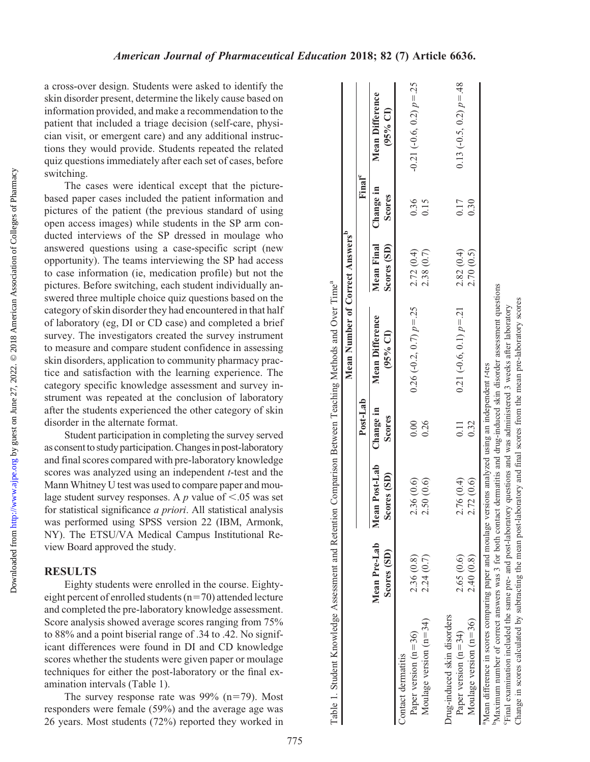a cross-over design. Students were asked to identify the skin disorder present, determine the likely cause based on information provided, and make a recommendation to the patient that included a triage decision (self-care, physician visit, or emergent care) and any additional instructions they would provide. Students repeated the related quiz questions immediately after each set of cases, before switching.

The cases were identical except that the picturebased paper cases included the patient information and pictures of the patient (the previous standard of using open access images) while students in the SP arm conducted interviews of the SP dressed in moulage who answered questions using a case-specific script (new opportunity). The teams interviewing the SP had access to case information (ie, medication profile) but not the pictures. Before switching, each student individually answered three multiple choice quiz questions based on the category of skin disorder they had encountered in that half of laboratory (eg, DI or CD case) and completed a brief survey. The investigators created the survey instrument to measure and compare student confidence in assessing skin disorders, application to community pharmacy practice and satisfaction with the learning experience. The category specific knowledge assessment and survey instrument was repeated at the conclusion of laboratory after the students experienced the other category of skin disorder in the alternate format.

Student participation in completing the survey served as consent to study participation. Changes in post-laboratory and final scores compared with pre-laboratory knowledge scores was analyzed using an independent *t*-test and the Mann Whitney U test was used to compare paper and moulage student survey responses. A p value of  $\leq$ .05 was set for statistical significance a priori. All statistical analysis was performed using SPSS version 22 (IBM, Armonk, NY). The ETSU/VA Medical Campus Institutional Review Board approved the study.

### RESULTS

Eighty students were enrolled in the course. Eightyeight percent of enrolled students ( $n=70$ ) attended lecture and completed the pre-laboratory knowledge assessment. Score analysis showed average scores ranging from 75% to 88% and a point biserial range of .34 to .42. No significant differences were found in DI and CD knowledge scores whether the students were given paper or moulage techniques for either the post-laboratory or the final examination intervals (Table 1).

The survey response rate was  $99\%$  (n=79). Most responders were female (59%) and the average age was 26 years. Most students (72%) reported they worked in

|                                                                                                                                                                                                                                                 |                             |                              |                     | Mean Number of Correct Answers" |                           |                     |                                    |
|-------------------------------------------------------------------------------------------------------------------------------------------------------------------------------------------------------------------------------------------------|-----------------------------|------------------------------|---------------------|---------------------------------|---------------------------|---------------------|------------------------------------|
|                                                                                                                                                                                                                                                 |                             |                              | Post-Lab            |                                 |                           | Final <sup>c</sup>  |                                    |
|                                                                                                                                                                                                                                                 | Mean Pre-Lab<br>Scores (SD) | Mean Post-Lab<br>Scores (SD) | Change in<br>Scores | Mean Difference<br>(95% CI)     | Mean Final<br>Scores (SD) | Change in<br>Scores | <b>Mean Difference</b><br>(95% CI) |
| Paper version $(n=36)$<br>Contact dermatitis                                                                                                                                                                                                    | 2.36(0.8)                   | .36(0.6)<br>$\mathcal{L}$    | 0.00                | $0.26$ (-0.2, 0.7) $p = .25$    | 2.72(0.4)                 | 0.36                | $-0.21(-0.6, 0.2) p = 0.25$        |
| Moulage version $(n=34)$                                                                                                                                                                                                                        | 2.24(0.7)                   | .50(0.6)<br>$\sim$           | 0.26                |                                 | 2.38 (0.7)                | 0.15                |                                    |
| Drug-induced skin disorders                                                                                                                                                                                                                     |                             |                              |                     |                                 |                           |                     |                                    |
| Paper version $(n=34)$                                                                                                                                                                                                                          | 2.65 (0.6)                  | .76(0.4)<br>$\sim$           | 0.11                | $0.21 (-0.6, 0.1) p = 21$       | 2.82(0.4)                 | 0.17                | 0.13 $(-0.5, 0.2)$ $p = .48$       |
| Moulage version $(n=36)$                                                                                                                                                                                                                        | 2.40(0.8)                   | 2.72 (0.6)                   | 0.32                |                                 | 2.70(0.5)                 | 0.30                |                                    |
| Mean difference in scores comparing paper and moulage versions analyzed using an independent t-tes                                                                                                                                              |                             |                              |                     |                                 |                           |                     |                                    |
| Maximum number of correct answers was 3 for both contact dermatitis and drug-induced skin disorder assessment questions<br>Final examination included the same pre- and post-laboratory questions and was administered 3 weeks after laboratory |                             |                              |                     |                                 |                           |                     |                                    |
| Change in scores calculated by subtracting the mean post-laboratory and final scores from the mean pre-laboratory scores                                                                                                                        |                             |                              |                     |                                 |                           |                     |                                    |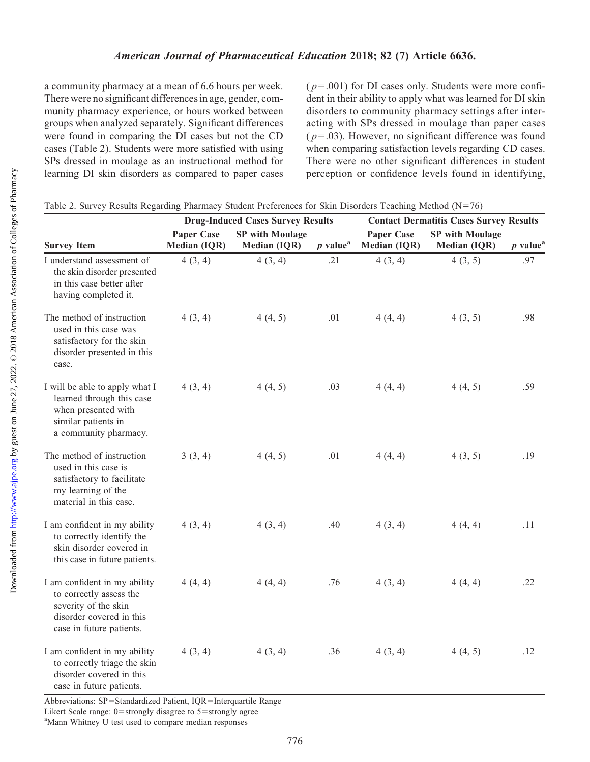a community pharmacy at a mean of 6.6 hours per week. There were no significant differences in age, gender, community pharmacy experience, or hours worked between groups when analyzed separately. Significant differences were found in comparing the DI cases but not the CD cases (Table 2). Students were more satisfied with using SPs dressed in moulage as an instructional method for learning DI skin disorders as compared to paper cases  $(p=.001)$  for DI cases only. Students were more confident in their ability to apply what was learned for DI skin disorders to community pharmacy settings after interacting with SPs dressed in moulage than paper cases  $(p=.03)$ . However, no significant difference was found when comparing satisfaction levels regarding CD cases. There were no other significant differences in student perception or confidence levels found in identifying,

|                                                                                                                                         | <b>Drug-Induced Cases Survey Results</b> |                        |                        | <b>Contact Dermatitis Cases Survey Results</b> |                        |                        |
|-----------------------------------------------------------------------------------------------------------------------------------------|------------------------------------------|------------------------|------------------------|------------------------------------------------|------------------------|------------------------|
|                                                                                                                                         | <b>Paper Case</b>                        | <b>SP</b> with Moulage |                        | <b>Paper Case</b>                              | <b>SP</b> with Moulage |                        |
| <b>Survey Item</b>                                                                                                                      | Median (IQR)                             | <b>Median (IQR)</b>    | $p$ value <sup>a</sup> | <b>Median (IQR)</b>                            | Median (IQR)           | $p$ value <sup>a</sup> |
| I understand assessment of<br>the skin disorder presented<br>in this case better after<br>having completed it.                          | 4(3, 4)                                  | 4(3, 4)                | .21                    | 4(3, 4)                                        | 4(3, 5)                | .97                    |
| The method of instruction<br>used in this case was<br>satisfactory for the skin<br>disorder presented in this<br>case.                  | 4(3, 4)                                  | 4(4, 5)                | .01                    | 4(4, 4)                                        | 4(3, 5)                | .98                    |
| I will be able to apply what I<br>learned through this case<br>when presented with<br>similar patients in<br>a community pharmacy.      | 4(3, 4)                                  | 4(4, 5)                | .03                    | 4(4, 4)                                        | 4(4, 5)                | .59                    |
| The method of instruction<br>used in this case is<br>satisfactory to facilitate<br>my learning of the<br>material in this case.         | 3(3, 4)                                  | 4(4, 5)                | .01                    | 4(4, 4)                                        | 4(3, 5)                | .19                    |
| I am confident in my ability<br>to correctly identify the<br>skin disorder covered in<br>this case in future patients.                  | 4(3, 4)                                  | 4(3, 4)                | .40                    | 4(3, 4)                                        | 4(4, 4)                | .11                    |
| I am confident in my ability<br>to correctly assess the<br>severity of the skin<br>disorder covered in this<br>case in future patients. | 4(4, 4)                                  | 4(4, 4)                | .76                    | 4(3, 4)                                        | 4(4, 4)                | .22                    |
| I am confident in my ability<br>to correctly triage the skin<br>disorder covered in this<br>case in future patients.                    | 4(3, 4)                                  | 4(3, 4)                | .36                    | 4(3, 4)                                        | 4(4, 5)                | .12                    |

Abbreviations: SP=Standardized Patient, IQR=Interquartile Range

Likert Scale range:  $0$ =strongly disagree to  $5$ =strongly agree

<sup>a</sup>Mann Whitney U test used to compare median responses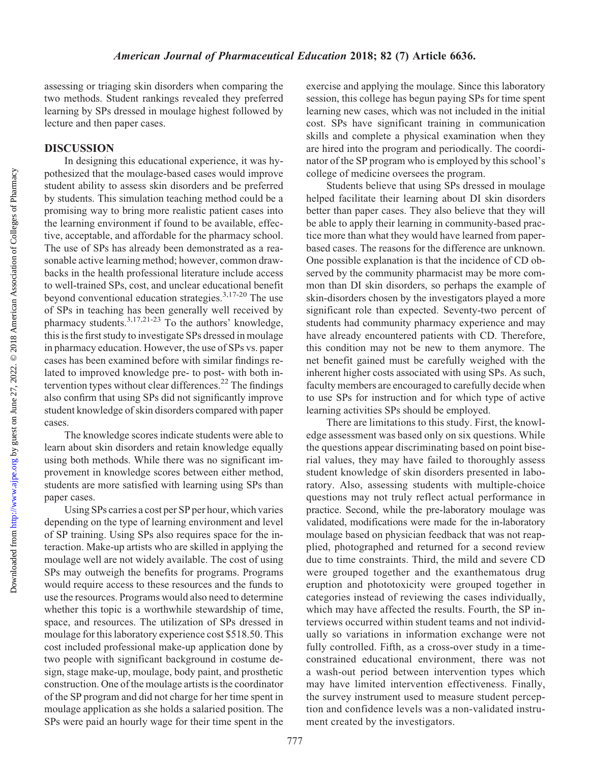<http://www.ajpe.org>

Downloaded from

assessing or triaging skin disorders when comparing the two methods. Student rankings revealed they preferred learning by SPs dressed in moulage highest followed by lecture and then paper cases.

# DISCUSSION

In designing this educational experience, it was hypothesized that the moulage-based cases would improve student ability to assess skin disorders and be preferred by students. This simulation teaching method could be a promising way to bring more realistic patient cases into the learning environment if found to be available, effective, acceptable, and affordable for the pharmacy school. The use of SPs has already been demonstrated as a reasonable active learning method; however, common drawbacks in the health professional literature include access to well-trained SPs, cost, and unclear educational benefit beyond conventional education strategies.3,17-20 The use of SPs in teaching has been generally well received by pharmacy students.<sup>3,17,21-23</sup> To the authors' knowledge, this is the first study to investigate SPs dressed in moulage in pharmacy education. However, the use of SPs vs. paper cases has been examined before with similar findings related to improved knowledge pre- to post- with both intervention types without clear differences.<sup>22</sup> The findings also confirm that using SPs did not significantly improve student knowledge of skin disorders compared with paper cases.

The knowledge scores indicate students were able to learn about skin disorders and retain knowledge equally using both methods. While there was no significant improvement in knowledge scores between either method, students are more satisfied with learning using SPs than paper cases.

Using SPs carries a cost per SP per hour, which varies depending on the type of learning environment and level of SP training. Using SPs also requires space for the interaction. Make-up artists who are skilled in applying the moulage well are not widely available. The cost of using SPs may outweigh the benefits for programs. Programs would require access to these resources and the funds to use the resources. Programs would also need to determine whether this topic is a worthwhile stewardship of time, space, and resources. The utilization of SPs dressed in moulage for this laboratory experience cost \$518.50. This cost included professional make-up application done by two people with significant background in costume design, stage make-up, moulage, body paint, and prosthetic construction. One of the moulage artists is the coordinator of the SP program and did not charge for her time spent in moulage application as she holds a salaried position. The SPs were paid an hourly wage for their time spent in the

exercise and applying the moulage. Since this laboratory session, this college has begun paying SPs for time spent learning new cases, which was not included in the initial cost. SPs have significant training in communication skills and complete a physical examination when they are hired into the program and periodically. The coordinator of the SP program who is employed by this school's college of medicine oversees the program.

Students believe that using SPs dressed in moulage helped facilitate their learning about DI skin disorders better than paper cases. They also believe that they will be able to apply their learning in community-based practice more than what they would have learned from paperbased cases. The reasons for the difference are unknown. One possible explanation is that the incidence of CD observed by the community pharmacist may be more common than DI skin disorders, so perhaps the example of skin-disorders chosen by the investigators played a more significant role than expected. Seventy-two percent of students had community pharmacy experience and may have already encountered patients with CD. Therefore, this condition may not be new to them anymore. The net benefit gained must be carefully weighed with the inherent higher costs associated with using SPs. As such, faculty members are encouraged to carefully decide when to use SPs for instruction and for which type of active learning activities SPs should be employed.

There are limitations to this study. First, the knowledge assessment was based only on six questions. While the questions appear discriminating based on point biserial values, they may have failed to thoroughly assess student knowledge of skin disorders presented in laboratory. Also, assessing students with multiple-choice questions may not truly reflect actual performance in practice. Second, while the pre-laboratory moulage was validated, modifications were made for the in-laboratory moulage based on physician feedback that was not reapplied, photographed and returned for a second review due to time constraints. Third, the mild and severe CD were grouped together and the exanthematous drug eruption and phototoxicity were grouped together in categories instead of reviewing the cases individually, which may have affected the results. Fourth, the SP interviews occurred within student teams and not individually so variations in information exchange were not fully controlled. Fifth, as a cross-over study in a timeconstrained educational environment, there was not a wash-out period between intervention types which may have limited intervention effectiveness. Finally, the survey instrument used to measure student perception and confidence levels was a non-validated instrument created by the investigators.